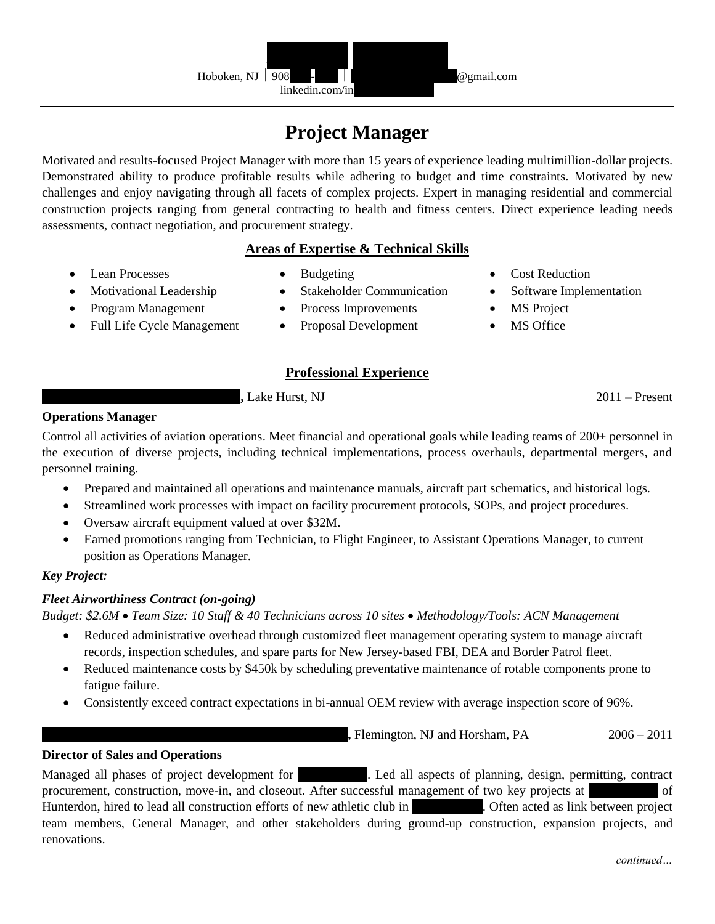

# **Project Manager**

Motivated and results-focused Project Manager with more than 15 years of experience leading multimillion-dollar projects. Demonstrated ability to produce profitable results while adhering to budget and time constraints. Motivated by new challenges and enjoy navigating through all facets of complex projects. Expert in managing residential and commercial construction projects ranging from general contracting to health and fitness centers. Direct experience leading needs assessments, contract negotiation, and procurement strategy.

# **Areas of Expertise & Technical Skills**

• Lean Processes

- Budgeting
- Stakeholder Communication
- Program Management
- Full Life Cycle Management

• Motivational Leadership

- Process Improvements
- Proposal Development

# **MS** Project

MS Office

• Cost Reduction

• Software Implementation

# **Professional Experience**

**Lake Hurst, NJ** 2011 – Present

**Operations Manager**

Control all activities of aviation operations. Meet financial and operational goals while leading teams of 200+ personnel in the execution of diverse projects, including technical implementations, process overhauls, departmental mergers, and personnel training.

- Prepared and maintained all operations and maintenance manuals, aircraft part schematics, and historical logs.
- Streamlined work processes with impact on facility procurement protocols, SOPs, and project procedures.
- Oversaw aircraft equipment valued at over \$32M.
- Earned promotions ranging from Technician, to Flight Engineer, to Assistant Operations Manager, to current position as Operations Manager.

#### *Key Project:*

# *Fleet Airworthiness Contract (on-going)*

*Budget: \$2.6M* • *Team Size: 10 Staff & 40 Technicians across 10 sites* • *Methodology/Tools: ACN Management*

- Reduced administrative overhead through customized fleet management operating system to manage aircraft records, inspection schedules, and spare parts for New Jersey-based FBI, DEA and Border Patrol fleet.
- Reduced maintenance costs by \$450k by scheduling preventative maintenance of rotable components prone to fatigue failure.
- Consistently exceed contract expectations in bi-annual OEM review with average inspection score of 96%.

**Firm August of August of Hunterdon and Horsham, PA** 2006 – 2011

# **Director of Sales and Operations**

Managed all phases of project development for Health Led all aspects of planning, design, permitting, contract procurement, construction, move-in, and closeout. After successful management of two key projects at of Hunterdon, hired to lead all construction efforts of new athletic club in Departum . Often acted as link between project team members, General Manager, and other stakeholders during ground-up construction, expansion projects, and renovations.